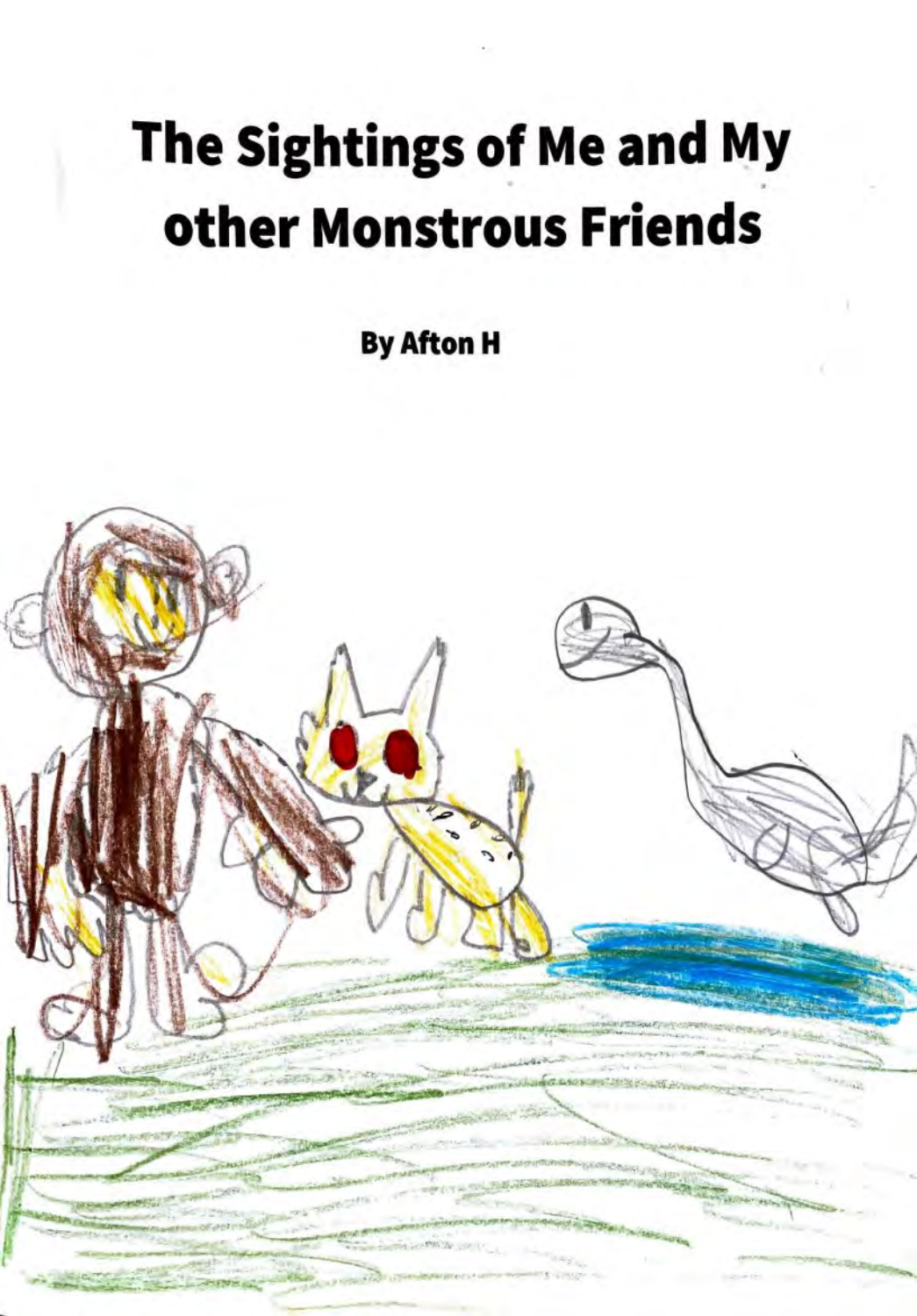## The Sightings of Me and My other Monstrous Friends

**By Afton H** 

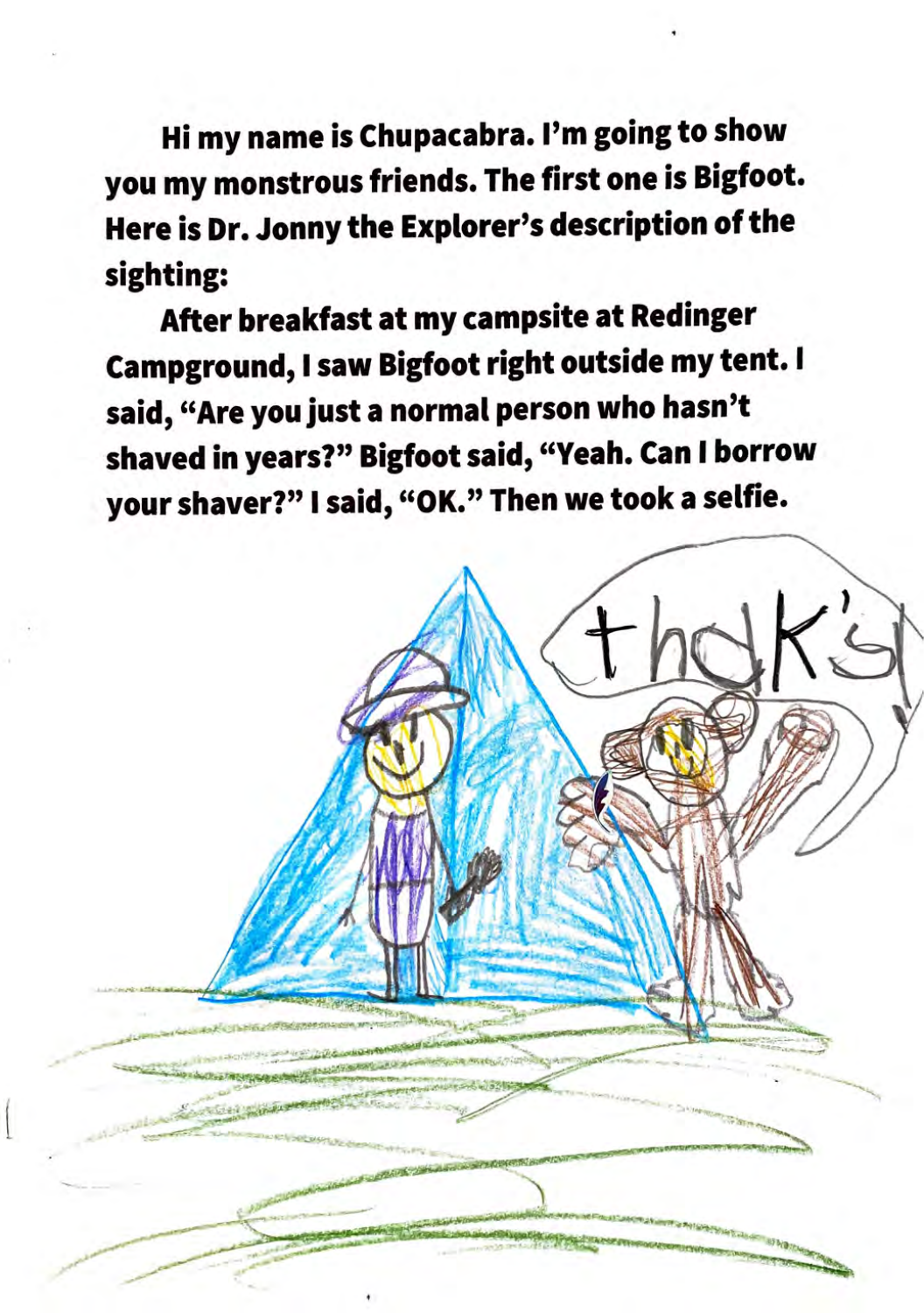Hi my name is Chupacabra. I'm going to show you my monstrous friends. The first one is Bigfoot. Here is Dr. Jonny the Explorer's description of the sighting:

After breakfast at my campsite at Redinger Campground, I saw Bigfoot right outside my tent. I said, "Are you just a normal person who hasn't shaved in years?" Bigfoot said, "Yeah. Can I borrow your shaver?" I said, "OK." Then we took a selfie.

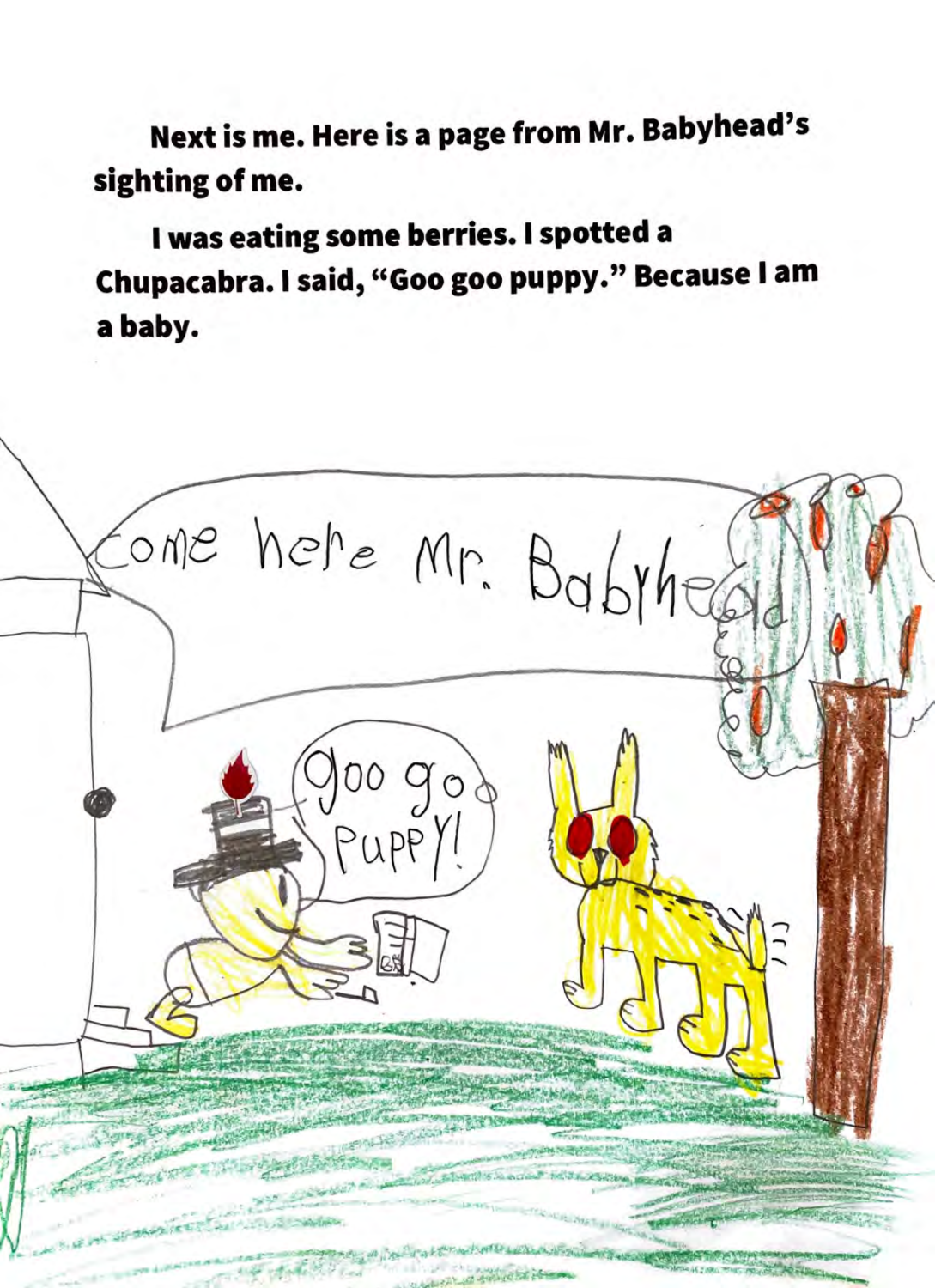Next is me. Here is a page from Mr. Babyhead's sighting of me.

I was eating some berries. I spotted a Chupacabra. I said, "Goo goo puppy." Because I am a baby.

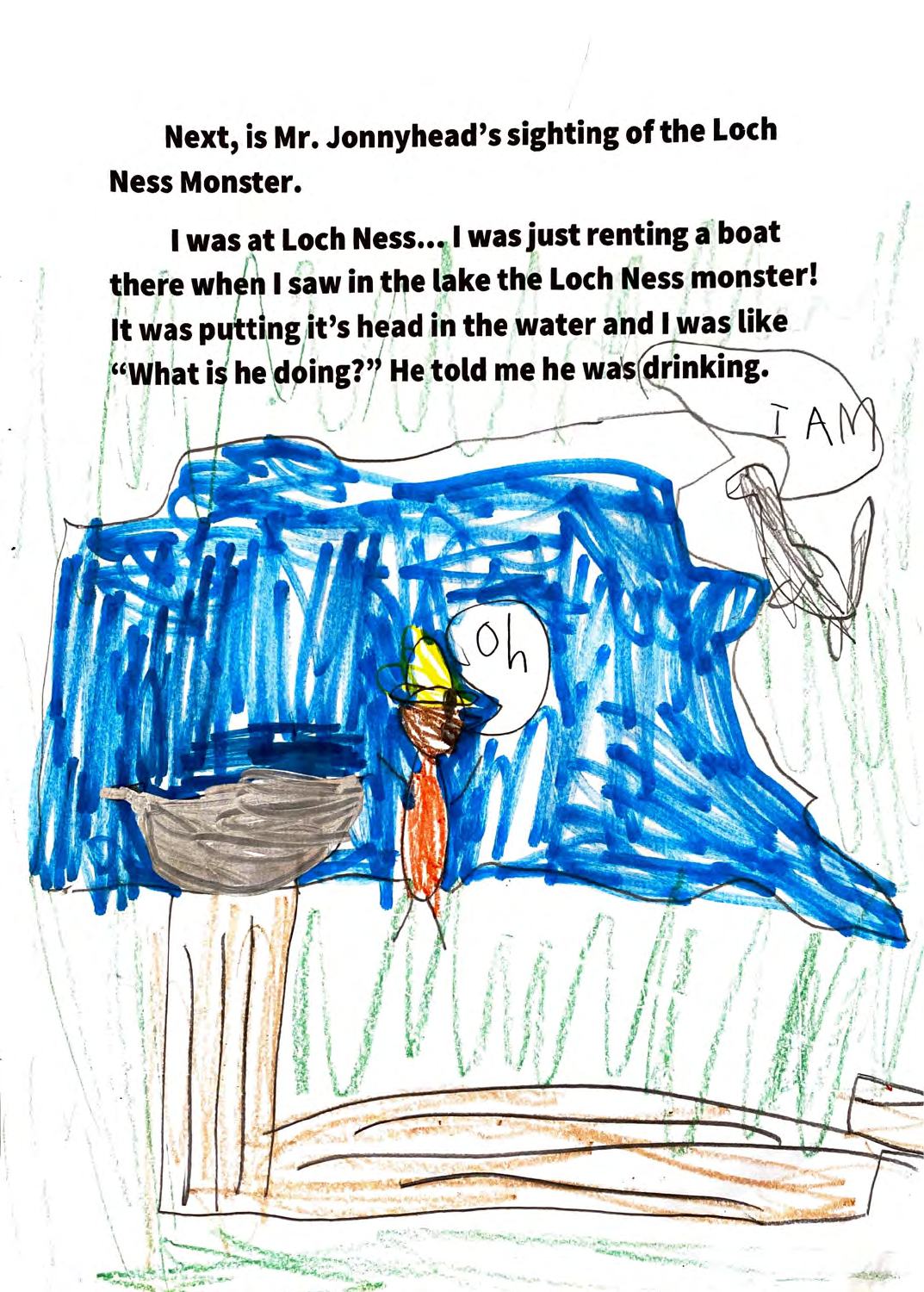Next, is Mr. Jonnyhead's sighting of the Loch **Ness Monster.** 

I was at Loch Ness... I was just renting a boat there when I saw in the lake the Loch Ness monster! It was putting it's head in the water and I was like "What is he doing?" He told me he was drinking.

AN